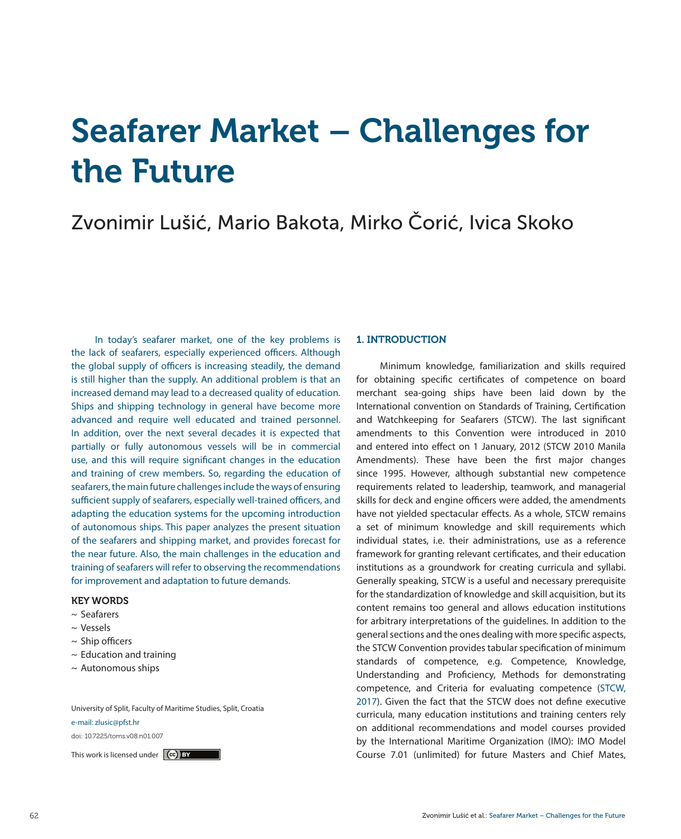# Seafarer Market – Challenges for the Future

# Zvonimir Lušić, Mario Bakota, Mirko Čorić, Ivica Skoko

In today's seafarer market, one of the key problems is the lack of seafarers, especially experienced officers. Although the global supply of officers is increasing steadily, the demand is still higher than the supply. An additional problem is that an increased demand may lead to a decreased quality of education. Ships and shipping technology in general have become more advanced and require well educated and trained personnel. In addition, over the next several decades it is expected that partially or fully autonomous vessels will be in commercial use, and this will require significant changes in the education and training of crew members. So, regarding the education of seafarers, the main future challenges include the ways of ensuring sufficient supply of seafarers, especially well-trained officers, and adapting the education systems for the upcoming introduction of autonomous ships. This paper analyzes the present situation of the seafarers and shipping market, and provides forecast for the near future. Also, the main challenges in the education and training of seafarers will refer to observing the recommendations for improvement and adaptation to future demands.

# KEY WORDS

- ~ Seafarers
- ~ Vessels
- $\sim$  Ship officers
- $\sim$  Education and training
- $\sim$  Autonomous ships

University of Split, Faculty of Maritime Studies, Split, Croatia

#### e-mail: zlusic@pfst.hr

doi: 10.7225/toms.v08.n01.007

# 1. INTRODUCTION

Minimum knowledge, familiarization and skills required for obtaining specific certificates of competence on board merchant sea-going ships have been laid down by the International convention on Standards of Training, Certification and Watchkeeping for Seafarers (STCW). The last significant amendments to this Convention were introduced in 2010 and entered into effect on 1 January, 2012 (STCW 2010 Manila Amendments). These have been the first major changes since 1995. However, although substantial new competence requirements related to leadership, teamwork, and managerial skills for deck and engine officers were added, the amendments have not yielded spectacular effects. As a whole, STCW remains a set of minimum knowledge and skill requirements which individual states, i.e. their administrations, use as a reference framework for granting relevant certificates, and their education institutions as a groundwork for creating curricula and syllabi. Generally speaking, STCW is a useful and necessary prerequisite for the standardization of knowledge and skill acquisition, but its content remains too general and allows education institutions for arbitrary interpretations of the guidelines. In addition to the general sections and the ones dealing with more specific aspects, the STCW Convention provides tabular specification of minimum standards of competence, e.g. Competence, Knowledge, Understanding and Proficiency, Methods for demonstrating competence, and Criteria for evaluating competence (STCW, 2017). Given the fact that the STCW does not define executive curricula, many education institutions and training centers rely on additional recommendations and model courses provided by the International Maritime Organization (IMO): IMO Model This work is licensed under **Course Course Course 7.01** (unlimited) for future Masters and Chief Mates,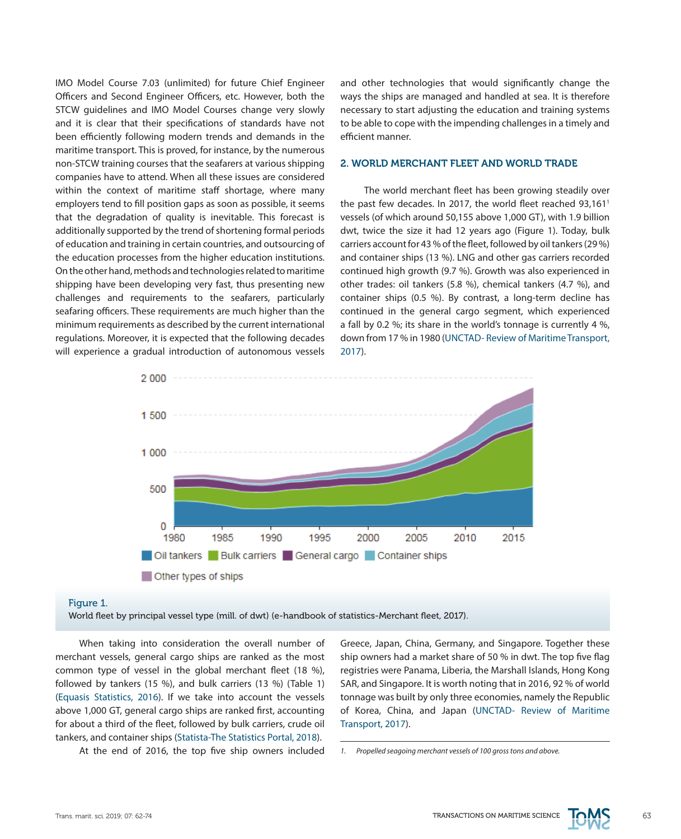IMO Model Course 7.03 (unlimited) for future Chief Engineer Officers and Second Engineer Officers, etc. However, both the STCW guidelines and IMO Model Courses change very slowly and it is clear that their specifications of standards have not been efficiently following modern trends and demands in the maritime transport. This is proved, for instance, by the numerous non-STCW training courses that the seafarers at various shipping companies have to attend. When all these issues are considered within the context of maritime staff shortage, where many employers tend to fill position gaps as soon as possible, it seems that the degradation of quality is inevitable. This forecast is additionally supported by the trend of shortening formal periods of education and training in certain countries, and outsourcing of the education processes from the higher education institutions. On the other hand, methods and technologies related to maritime shipping have been developing very fast, thus presenting new challenges and requirements to the seafarers, particularly seafaring officers. These requirements are much higher than the minimum requirements as described by the current international regulations. Moreover, it is expected that the following decades will experience a gradual introduction of autonomous vessels and other technologies that would significantly change the ways the ships are managed and handled at sea. It is therefore necessary to start adjusting the education and training systems to be able to cope with the impending challenges in a timely and efficient manner.

#### 2. WORLD MERCHANT FLEET AND WORLD TRADE

The world merchant fleet has been growing steadily over the past few decades. In 2017, the world fleet reached 93,161<sup>1</sup> vessels (of which around 50,155 above 1,000 GT), with 1.9 billion dwt, twice the size it had 12 years ago (Figure 1). Today, bulk carriers account for 43 % of the fleet, followed by oil tankers (29 %) and container ships (13 %). LNG and other gas carriers recorded continued high growth (9.7 %). Growth was also experienced in other trades: oil tankers (5.8 %), chemical tankers (4.7 %), and container ships (0.5 %). By contrast, a long-term decline has continued in the general cargo segment, which experienced a fall by 0.2 %; its share in the world's tonnage is currently 4 %, down from 17 % in 1980 (UNCTAD- Review of Maritime Transport, 2017).



#### Figure 1.

World fleet by principal vessel type (mill. of dwt) (e-handbook of statistics-Merchant fleet, 2017).

When taking into consideration the overall number of merchant vessels, general cargo ships are ranked as the most common type of vessel in the global merchant fleet (18 %), followed by tankers (15 %), and bulk carriers (13 %) (Table 1) (Equasis Statistics, 2016). If we take into account the vessels above 1,000 GT, general cargo ships are ranked first, accounting for about a third of the fleet, followed by bulk carriers, crude oil tankers, and container ships (Statista-The Statistics Portal, 2018).

At the end of 2016, the top five ship owners included

Greece, Japan, China, Germany, and Singapore. Together these ship owners had a market share of 50 % in dwt. The top five flag registries were Panama, Liberia, the Marshall Islands, Hong Kong SAR, and Singapore. It is worth noting that in 2016, 92 % of world tonnage was built by only three economies, namely the Republic of Korea, China, and Japan (UNCTAD- Review of Maritime Transport, 2017).



*<sup>1.</sup> Propelled seagoing merchant vessels of 100 gross tons and above.*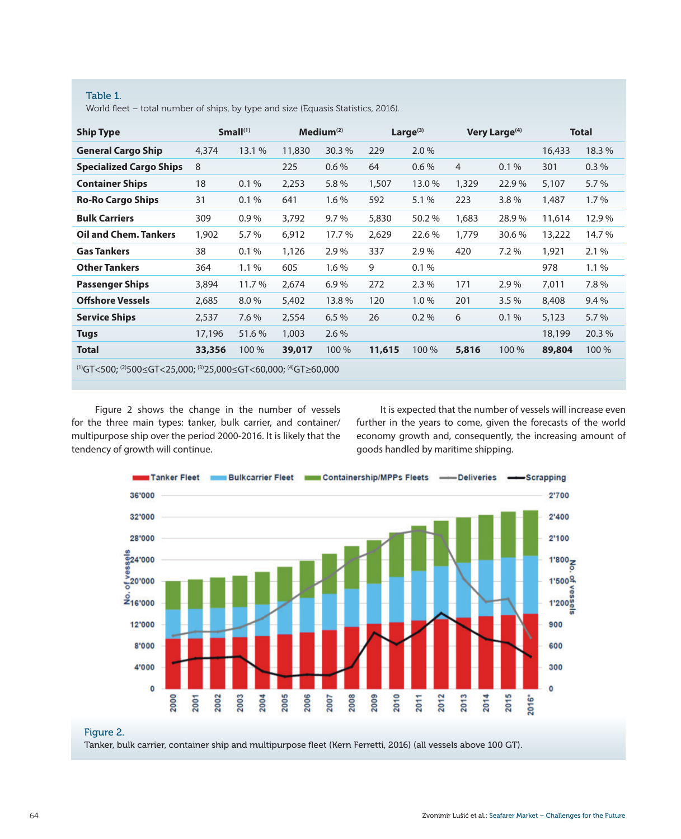# Table 1.

World fleet – total number of ships, by type and size (Equasis Statistics, 2016).

| <b>Ship Type</b>                                               |        | Small <sup>(1)</sup> |        | Medium <sup>(2)</sup> |        | Large $(3)$ |                | Very Large <sup>(4)</sup> | <b>Total</b> |        |
|----------------------------------------------------------------|--------|----------------------|--------|-----------------------|--------|-------------|----------------|---------------------------|--------------|--------|
| <b>General Cargo Ship</b>                                      | 4,374  | 13.1 %               | 11,830 | 30.3%                 | 229    | 2.0%        |                |                           | 16,433       | 18.3%  |
| <b>Specialized Cargo Ships</b>                                 | 8      |                      | 225    | $0.6\%$               | 64     | $0.6\%$     | $\overline{4}$ | $0.1\%$                   | 301          | 0.3%   |
| <b>Container Ships</b>                                         | 18     | 0.1%                 | 2,253  | 5.8%                  | 1,507  | 13.0%       | 1,329          | 22.9%                     | 5,107        | 5.7%   |
| <b>Ro-Ro Cargo Ships</b>                                       | 31     | 0.1%                 | 641    | 1.6%                  | 592    | 5.1 %       | 223            | 3.8%                      | 1,487        | 1.7%   |
| <b>Bulk Carriers</b>                                           | 309    | 0.9%                 | 3,792  | 9.7%                  | 5,830  | 50.2%       | 1,683          | 28.9%                     | 11,614       | 12.9%  |
| <b>Oil and Chem. Tankers</b>                                   | 1,902  | 5.7%                 | 6,912  | 17.7 %                | 2,629  | 22.6 %      | 1,779          | 30.6 %                    | 13,222       | 14.7 % |
| <b>Gas Tankers</b>                                             | 38     | 0.1%                 | 1,126  | 2.9%                  | 337    | 2.9%        | 420            | 7.2%                      | 1,921        | 2.1%   |
| <b>Other Tankers</b>                                           | 364    | 1.1%                 | 605    | $1.6\%$               | 9      | 0.1%        |                |                           | 978          | 1.1%   |
| <b>Passenger Ships</b>                                         | 3,894  | 11.7%                | 2,674  | 6.9%                  | 272    | 2.3%        | 171            | 2.9%                      | 7,011        | 7.8%   |
| <b>Offshore Vessels</b>                                        | 2,685  | 8.0%                 | 5,402  | 13.8%                 | 120    | 1.0%        | 201            | 3.5%                      | 8,408        | 9.4%   |
| <b>Service Ships</b>                                           | 2,537  | 7.6 %                | 2,554  | 6.5%                  | 26     | $0.2\%$     | 6              | 0.1%                      | 5,123        | 5.7%   |
| <b>Tugs</b>                                                    | 17,196 | 51.6%                | 1,003  | 2.6%                  |        |             |                |                           | 18,199       | 20.3%  |
| <b>Total</b>                                                   | 33,356 | 100 %                | 39,017 | 100 %                 | 11,615 | 100 %       | 5,816          | 100 %                     | 89,804       | 100 %  |
| (1)GT<500; (2)500≤GT<25,000; (3)25,000≤GT<60,000; (4)GT≥60,000 |        |                      |        |                       |        |             |                |                           |              |        |

Figure 2 shows the change in the number of vessels for the three main types: tanker, bulk carrier, and container/ multipurpose ship over the period 2000-2016. It is likely that the tendency of growth will continue.

It is expected that the number of vessels will increase even further in the years to come, given the forecasts of the world economy growth and, consequently, the increasing amount of goods handled by maritime shipping.



Tanker, bulk carrier, container ship and multipurpose fleet (Kern Ferretti, 2016) (all vessels above 100 GT).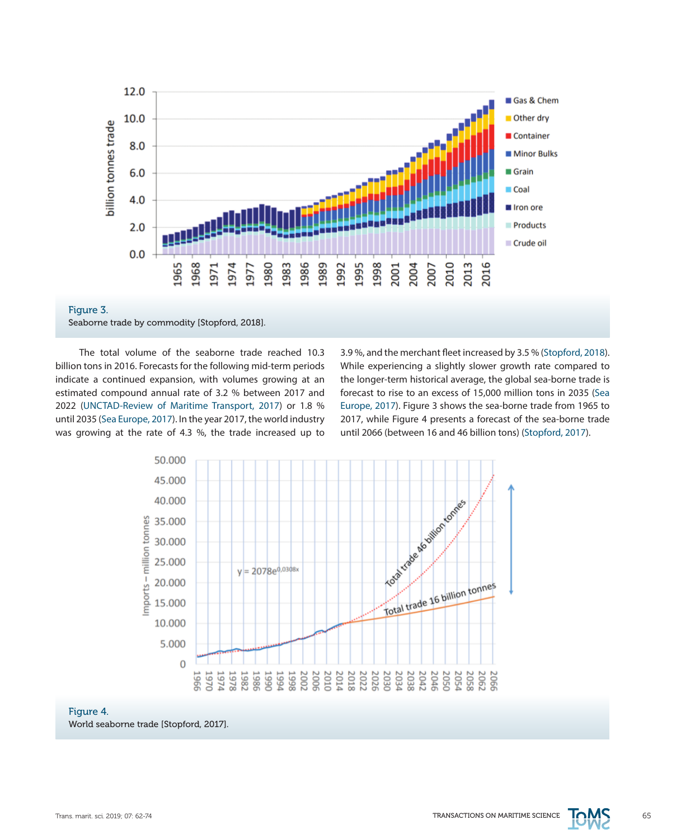



The total volume of the seaborne trade reached 10.3 billion tons in 2016. Forecasts for the following mid-term periods indicate a continued expansion, with volumes growing at an estimated compound annual rate of 3.2 % between 2017 and 2022 (UNCTAD-Review of Maritime Transport, 2017) or 1.8 % until 2035 (Sea Europe, 2017). In the year 2017, the world industry was growing at the rate of 4.3 %, the trade increased up to

3.9 %, and the merchant fleet increased by 3.5 % (Stopford, 2018). While experiencing a slightly slower growth rate compared to the longer-term historical average, the global sea-borne trade is forecast to rise to an excess of 15,000 million tons in 2035 (Sea Europe, 2017). Figure 3 shows the sea-borne trade from 1965 to 2017, while Figure 4 presents a forecast of the sea-borne trade until 2066 (between 16 and 46 billion tons) (Stopford, 2017).



#### Figure 4.

World seaborne trade [Stopford, 2017].

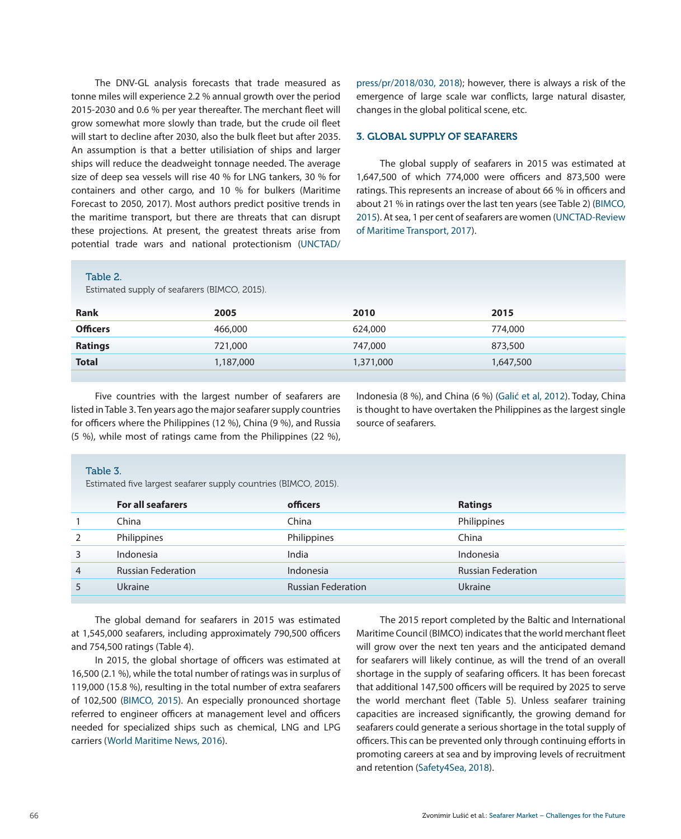The DNV-GL analysis forecasts that trade measured as tonne miles will experience 2.2 % annual growth over the period 2015-2030 and 0.6 % per year thereafter. The merchant fleet will grow somewhat more slowly than trade, but the crude oil fleet will start to decline after 2030, also the bulk fleet but after 2035. An assumption is that a better utilisiation of ships and larger ships will reduce the deadweight tonnage needed. The average size of deep sea vessels will rise 40 % for LNG tankers, 30 % for containers and other cargo, and 10 % for bulkers (Maritime Forecast to 2050, 2017). Most authors predict positive trends in the maritime transport, but there are threats that can disrupt these projections. At present, the greatest threats arise from potential trade wars and national protectionism (UNCTAD/

#### Table 2.

press/pr/2018/030, 2018); however, there is always a risk of the emergence of large scale war conflicts, large natural disaster, changes in the global political scene, etc.

# 3. GLOBAL SUPPLY OF SEAFARERS

The global supply of seafarers in 2015 was estimated at 1,647,500 of which 774,000 were officers and 873,500 were ratings. This represents an increase of about 66 % in officers and about 21 % in ratings over the last ten years (see Table 2) (BIMCO, 2015). At sea, 1 per cent of seafarers are women (UNCTAD-Review of Maritime Transport, 2017).

|                 | Estimated supply of seafarers (BIMCO, 2015). |           |           |  |
|-----------------|----------------------------------------------|-----------|-----------|--|
| Rank            | 2005                                         | 2010      | 2015      |  |
| <b>Officers</b> | 466,000                                      | 624,000   | 774,000   |  |
| <b>Ratings</b>  | 721,000                                      | 747,000   | 873,500   |  |
| <b>Total</b>    | 1,187,000                                    | 1,371,000 | 1,647,500 |  |
|                 |                                              |           |           |  |

Five countries with the largest number of seafarers are listed in Table 3. Ten years ago the major seafarer supply countries for officers where the Philippines (12 %), China (9 %), and Russia (5 %), while most of ratings came from the Philippines (22 %),

Indonesia (8 %), and China (6 %) (Galić et al, 2012). Today, China is thought to have overtaken the Philippines as the largest single source of seafarers.

#### Table 3.

Estimated five largest seafarer supply countries (BIMCO, 2015).

| <b>For all seafarers</b>  | officers                  | <b>Ratings</b>            |
|---------------------------|---------------------------|---------------------------|
| China                     | China                     | Philippines               |
| Philippines               | Philippines               | China                     |
| Indonesia                 | India                     | Indonesia                 |
| <b>Russian Federation</b> | Indonesia                 | <b>Russian Federation</b> |
| <b>Ukraine</b>            | <b>Russian Federation</b> | Ukraine                   |
|                           |                           |                           |

The global demand for seafarers in 2015 was estimated at 1,545,000 seafarers, including approximately 790,500 officers and 754,500 ratings (Table 4).

In 2015, the global shortage of officers was estimated at 16,500 (2.1 %), while the total number of ratings was in surplus of 119,000 (15.8 %), resulting in the total number of extra seafarers of 102,500 (BIMCO, 2015). An especially pronounced shortage referred to engineer officers at management level and officers needed for specialized ships such as chemical, LNG and LPG carriers (World Maritime News, 2016).

The 2015 report completed by the Baltic and International Maritime Council (BIMCO) indicates that the world merchant fleet will grow over the next ten years and the anticipated demand for seafarers will likely continue, as will the trend of an overall shortage in the supply of seafaring officers. It has been forecast that additional 147,500 officers will be required by 2025 to serve the world merchant fleet (Table 5). Unless seafarer training capacities are increased significantly, the growing demand for seafarers could generate a serious shortage in the total supply of officers. This can be prevented only through continuing efforts in promoting careers at sea and by improving levels of recruitment and retention (Safety4Sea, 2018).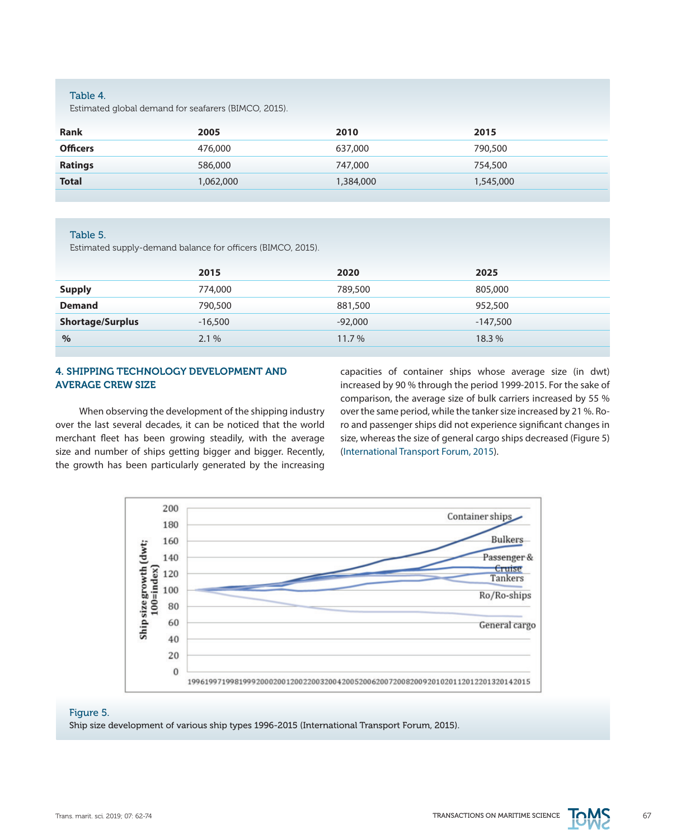# Table 4.

Estimated global demand for seafarers (BIMCO, 2015).

| <b>Rank</b>     | 2005      | 2010      | 2015      |
|-----------------|-----------|-----------|-----------|
| <b>Officers</b> | 476,000   | 637,000   | 790,500   |
| <b>Ratings</b>  | 586,000   | 747,000   | 754,500   |
| <b>Total</b>    | 1,062,000 | 1,384,000 | 1,545,000 |

#### Table 5.

Estimated supply-demand balance for officers (BIMCO, 2015).

|                         | 2015      | 2020      | 2025       |
|-------------------------|-----------|-----------|------------|
| <b>Supply</b>           | 774,000   | 789,500   | 805,000    |
| <b>Demand</b>           | 790,500   | 881,500   | 952,500    |
| <b>Shortage/Surplus</b> | $-16,500$ | $-92,000$ | $-147,500$ |
| $\%$                    | 2.1%      | $11.7\%$  | 18.3%      |
|                         |           |           |            |

# 4. SHIPPING TECHNOLOGY DEVELOPMENT AND AVERAGE CREW SIZE

When observing the development of the shipping industry over the last several decades, it can be noticed that the world merchant fleet has been growing steadily, with the average size and number of ships getting bigger and bigger. Recently, the growth has been particularly generated by the increasing

capacities of container ships whose average size (in dwt) increased by 90 % through the period 1999-2015. For the sake of comparison, the average size of bulk carriers increased by 55 % over the same period, while the tanker size increased by 21 %. Roro and passenger ships did not experience significant changes in size, whereas the size of general cargo ships decreased (Figure 5) (International Transport Forum, 2015).



# Figure 5.

Ship size development of various ship types 1996-2015 (International Transport Forum, 2015).

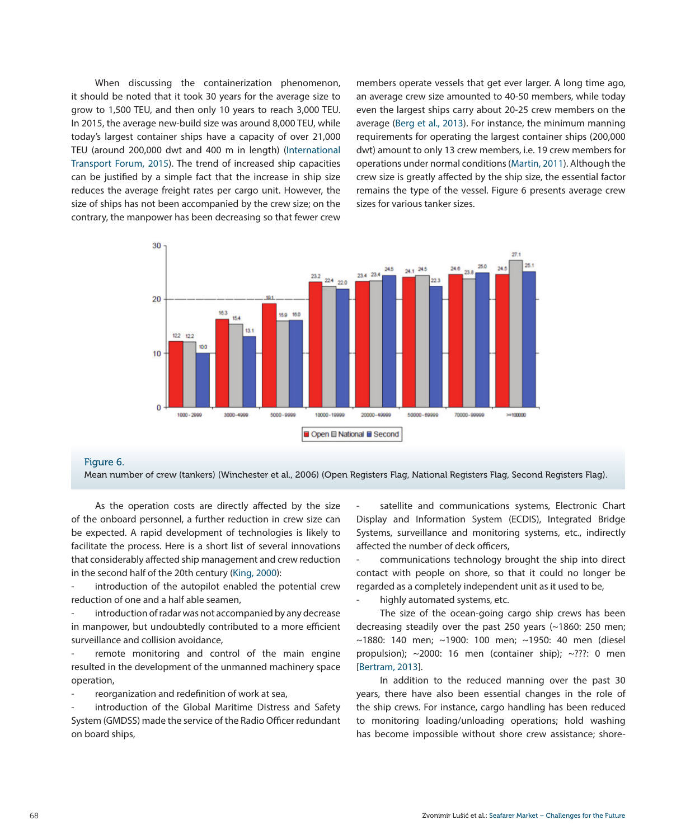When discussing the containerization phenomenon, it should be noted that it took 30 years for the average size to grow to 1,500 TEU, and then only 10 years to reach 3,000 TEU. In 2015, the average new-build size was around 8,000 TEU, while today's largest container ships have a capacity of over 21,000 TEU (around 200,000 dwt and 400 m in length) (International Transport Forum, 2015). The trend of increased ship capacities can be justified by a simple fact that the increase in ship size reduces the average freight rates per cargo unit. However, the size of ships has not been accompanied by the crew size; on the contrary, the manpower has been decreasing so that fewer crew

members operate vessels that get ever larger. A long time ago, an average crew size amounted to 40-50 members, while today even the largest ships carry about 20-25 crew members on the average (Berg et al., 2013). For instance, the minimum manning requirements for operating the largest container ships (200,000 dwt) amount to only 13 crew members, i.e. 19 crew members for operations under normal conditions (Martin, 2011). Although the crew size is greatly affected by the ship size, the essential factor remains the type of the vessel. Figure 6 presents average crew sizes for various tanker sizes.



# Figure 6.

Mean number of crew (tankers) (Winchester et al., 2006) (Open Registers Flag, National Registers Flag, Second Registers Flag).

As the operation costs are directly affected by the size of the onboard personnel, a further reduction in crew size can be expected. A rapid development of technologies is likely to facilitate the process. Here is a short list of several innovations that considerably affected ship management and crew reduction in the second half of the 20th century (King, 2000):

introduction of the autopilot enabled the potential crew reduction of one and a half able seamen,

introduction of radar was not accompanied by any decrease in manpower, but undoubtedly contributed to a more efficient surveillance and collision avoidance,

remote monitoring and control of the main engine resulted in the development of the unmanned machinery space operation,

reorganization and redefinition of work at sea,

introduction of the Global Maritime Distress and Safety System (GMDSS) made the service of the Radio Officer redundant on board ships,

satellite and communications systems, Electronic Chart Display and Information System (ECDIS), Integrated Bridge Systems, surveillance and monitoring systems, etc., indirectly affected the number of deck officers,

- communications technology brought the ship into direct contact with people on shore, so that it could no longer be regarded as a completely independent unit as it used to be,

- highly automated systems, etc.

The size of the ocean-going cargo ship crews has been decreasing steadily over the past 250 years (~1860: 250 men; ~1880: 140 men; ~1900: 100 men; ~1950: 40 men (diesel propulsion); ~2000: 16 men (container ship); ~???: 0 men [Bertram, 2013].

In addition to the reduced manning over the past 30 years, there have also been essential changes in the role of the ship crews. For instance, cargo handling has been reduced to monitoring loading/unloading operations; hold washing has become impossible without shore crew assistance; shore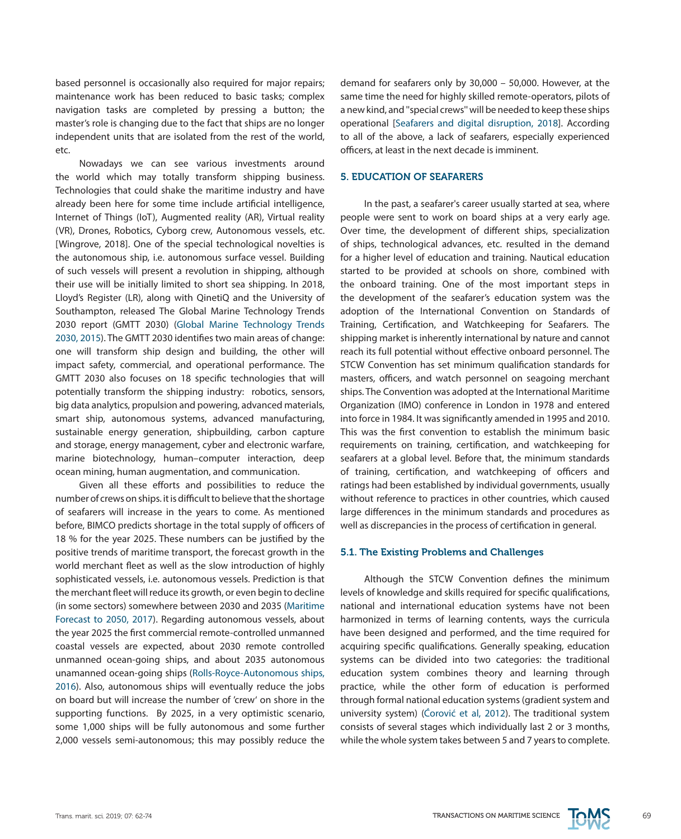based personnel is occasionally also required for major repairs; maintenance work has been reduced to basic tasks; complex navigation tasks are completed by pressing a button; the master's role is changing due to the fact that ships are no longer independent units that are isolated from the rest of the world, etc.

Nowadays we can see various investments around the world which may totally transform shipping business. Technologies that could shake the maritime industry and have already been here for some time include artificial intelligence, Internet of Things (IoT), Augmented reality (AR), Virtual reality (VR), Drones, Robotics, Cyborg crew, Autonomous vessels, etc. [Wingrove, 2018]. One of the special technological novelties is the autonomous ship, i.e. autonomous surface vessel. Building of such vessels will present a revolution in shipping, although their use will be initially limited to short sea shipping. In 2018, Lloyd's Register (LR), along with QinetiQ and the University of Southampton, released The Global Marine Technology Trends 2030 report (GMTT 2030) (Global Marine Technology Trends 2030, 2015). The GMTT 2030 identifies two main areas of change: one will transform ship design and building, the other will impact safety, commercial, and operational performance. The GMTT 2030 also focuses on 18 specific technologies that will potentially transform the shipping industry: robotics, sensors, big data analytics, propulsion and powering, advanced materials, smart ship, autonomous systems, advanced manufacturing, sustainable energy generation, shipbuilding, carbon capture and storage, energy management, cyber and electronic warfare, marine biotechnology, human–computer interaction, deep ocean mining, human augmentation, and communication.

Given all these efforts and possibilities to reduce the number of crews on ships. it is difficult to believe that the shortage of seafarers will increase in the years to come. As mentioned before, BIMCO predicts shortage in the total supply of officers of 18 % for the year 2025. These numbers can be justified by the positive trends of maritime transport, the forecast growth in the world merchant fleet as well as the slow introduction of highly sophisticated vessels, i.e. autonomous vessels. Prediction is that the merchant fleet will reduce its growth, or even begin to decline (in some sectors) somewhere between 2030 and 2035 (Maritime Forecast to 2050, 2017). Regarding autonomous vessels, about the year 2025 the first commercial remote-controlled unmanned coastal vessels are expected, about 2030 remote controlled unmanned ocean-going ships, and about 2035 autonomous unamanned ocean-going ships (Rolls-Royce-Autonomous ships, 2016). Also, autonomous ships will eventually reduce the jobs on board but will increase the number of 'crew' on shore in the supporting functions. By 2025, in a very optimistic scenario, some 1,000 ships will be fully autonomous and some further 2,000 vessels semi-autonomous; this may possibly reduce the

demand for seafarers only by 30,000 – 50,000. However, at the same time the need for highly skilled remote-operators, pilots of a new kind, and ''special crews'' will be needed to keep these ships operational [Seafarers and digital disruption, 2018]. According to all of the above, a lack of seafarers, especially experienced officers, at least in the next decade is imminent.

# 5. EDUCATION OF SEAFARERS

In the past, a seafarer's career usually started at sea, where people were sent to work on board ships at a very early age. Over time, the development of different ships, specialization of ships, technological advances, etc. resulted in the demand for a higher level of education and training. Nautical education started to be provided at schools on shore, combined with the onboard training. One of the most important steps in the development of the seafarer's education system was the adoption of the International Convention on Standards of Training, Certification, and Watchkeeping for Seafarers. The shipping market is inherently international by nature and cannot reach its full potential without effective onboard personnel. The STCW Convention has set minimum qualification standards for masters, officers, and watch personnel on seagoing merchant ships. The Convention was adopted at the International Maritime Organization (IMO) conference in London in 1978 and entered into force in 1984. It was significantly amended in 1995 and 2010. This was the first convention to establish the minimum basic requirements on training, certification, and watchkeeping for seafarers at a global level. Before that, the minimum standards of training, certification, and watchkeeping of officers and ratings had been established by individual governments, usually without reference to practices in other countries, which caused large differences in the minimum standards and procedures as well as discrepancies in the process of certification in general.

#### 5.1. The Existing Problems and Challenges

Although the STCW Convention defines the minimum levels of knowledge and skills required for specific qualifications, national and international education systems have not been harmonized in terms of learning contents, ways the curricula have been designed and performed, and the time required for acquiring specific qualifications. Generally speaking, education systems can be divided into two categories: the traditional education system combines theory and learning through practice, while the other form of education is performed through formal national education systems (gradient system and university system) (Ćorović et al, 2012). The traditional system consists of several stages which individually last 2 or 3 months, while the whole system takes between 5 and 7 years to complete.

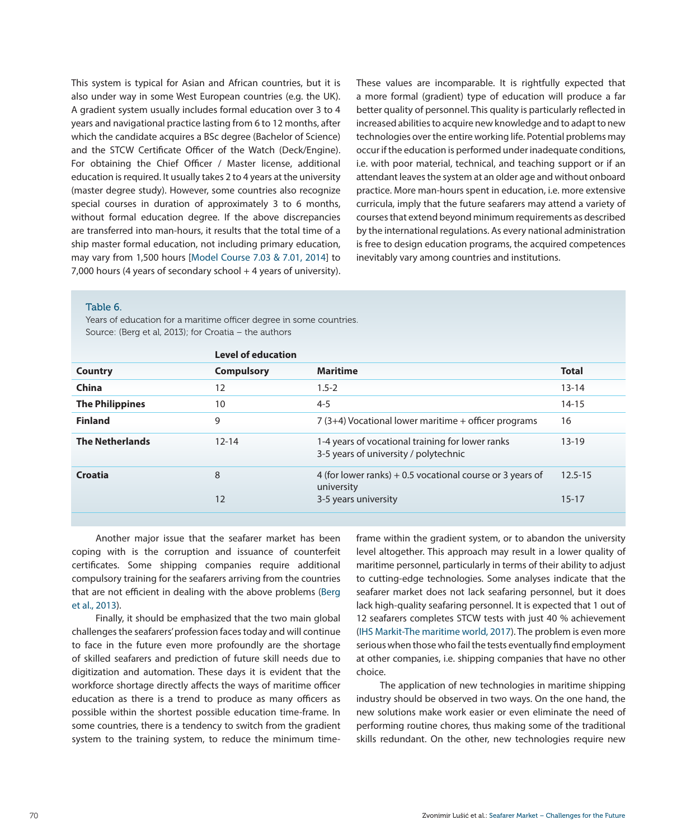This system is typical for Asian and African countries, but it is also under way in some West European countries (e.g. the UK). A gradient system usually includes formal education over 3 to 4 years and navigational practice lasting from 6 to 12 months, after which the candidate acquires a BSc degree (Bachelor of Science) and the STCW Certificate Officer of the Watch (Deck/Engine). For obtaining the Chief Officer / Master license, additional education is required. It usually takes 2 to 4 years at the university (master degree study). However, some countries also recognize special courses in duration of approximately 3 to 6 months, without formal education degree. If the above discrepancies are transferred into man-hours, it results that the total time of a ship master formal education, not including primary education, may vary from 1,500 hours [Model Course 7.03 & 7.01, 2014] to 7,000 hours (4 years of secondary school + 4 years of university). These values are incomparable. It is rightfully expected that a more formal (gradient) type of education will produce a far better quality of personnel. This quality is particularly reflected in increased abilities to acquire new knowledge and to adapt to new technologies over the entire working life. Potential problems may occur if the education is performed under inadequate conditions, i.e. with poor material, technical, and teaching support or if an attendant leaves the system at an older age and without onboard practice. More man-hours spent in education, i.e. more extensive curricula, imply that the future seafarers may attend a variety of courses that extend beyond minimum requirements as described by the international regulations. As every national administration is free to design education programs, the acquired competences inevitably vary among countries and institutions.

#### Table 6.

Years of education for a maritime officer degree in some countries. Source: (Berg et al, 2013); for Croatia – the authors

|                        | <b>Level of education</b> |                                                                                           |              |
|------------------------|---------------------------|-------------------------------------------------------------------------------------------|--------------|
| Country                | <b>Compulsory</b>         | <b>Maritime</b>                                                                           | <b>Total</b> |
| China                  | 12                        | $1.5 - 2$                                                                                 | $13 - 14$    |
| <b>The Philippines</b> | 10                        | $4 - 5$                                                                                   | $14 - 15$    |
| <b>Finland</b>         | 9                         | $7(3+4)$ Vocational lower maritime + officer programs                                     | 16           |
| <b>The Netherlands</b> | $12 - 14$                 | 1-4 years of vocational training for lower ranks<br>3-5 years of university / polytechnic | $13 - 19$    |
| Croatia                | 8                         | 4 (for lower ranks) $+0.5$ vocational course or 3 years of<br>university                  | $12.5 - 15$  |
|                        | 12                        | 3-5 years university                                                                      | $15 - 17$    |

Another major issue that the seafarer market has been coping with is the corruption and issuance of counterfeit certificates. Some shipping companies require additional compulsory training for the seafarers arriving from the countries that are not efficient in dealing with the above problems (Berg et al., 2013).

Finally, it should be emphasized that the two main global challenges the seafarers' profession faces today and will continue to face in the future even more profoundly are the shortage of skilled seafarers and prediction of future skill needs due to digitization and automation. These days it is evident that the workforce shortage directly affects the ways of maritime officer education as there is a trend to produce as many officers as possible within the shortest possible education time-frame. In some countries, there is a tendency to switch from the gradient system to the training system, to reduce the minimum timeframe within the gradient system, or to abandon the university level altogether. This approach may result in a lower quality of maritime personnel, particularly in terms of their ability to adjust to cutting-edge technologies. Some analyses indicate that the seafarer market does not lack seafaring personnel, but it does lack high-quality seafaring personnel. It is expected that 1 out of 12 seafarers completes STCW tests with just 40 % achievement (IHS Markit-The maritime world, 2017). The problem is even more serious when those who fail the tests eventually find employment at other companies, i.e. shipping companies that have no other choice.

The application of new technologies in maritime shipping industry should be observed in two ways. On the one hand, the new solutions make work easier or even eliminate the need of performing routine chores, thus making some of the traditional skills redundant. On the other, new technologies require new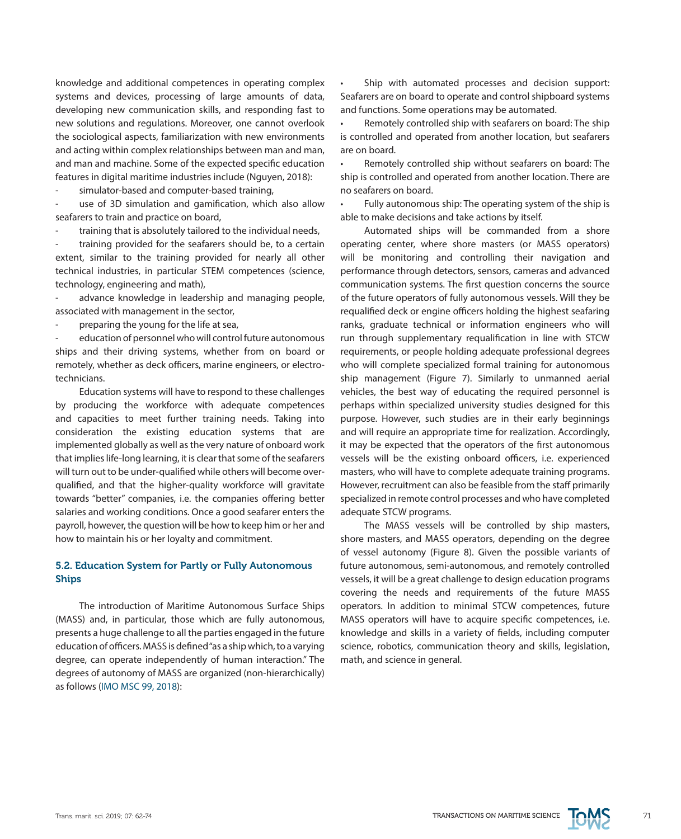knowledge and additional competences in operating complex systems and devices, processing of large amounts of data, developing new communication skills, and responding fast to new solutions and regulations. Moreover, one cannot overlook the sociological aspects, familiarization with new environments and acting within complex relationships between man and man, and man and machine. Some of the expected specific education features in digital maritime industries include (Nguyen, 2018):

simulator-based and computer-based training.

use of 3D simulation and gamification, which also allow seafarers to train and practice on board,

training that is absolutely tailored to the individual needs,

training provided for the seafarers should be, to a certain extent, similar to the training provided for nearly all other technical industries, in particular STEM competences (science, technology, engineering and math),

advance knowledge in leadership and managing people, associated with management in the sector,

preparing the young for the life at sea,

education of personnel who will control future autonomous ships and their driving systems, whether from on board or remotely, whether as deck officers, marine engineers, or electrotechnicians.

Education systems will have to respond to these challenges by producing the workforce with adequate competences and capacities to meet further training needs. Taking into consideration the existing education systems that are implemented globally as well as the very nature of onboard work that implies life-long learning, it is clear that some of the seafarers will turn out to be under-qualified while others will become overqualified, and that the higher-quality workforce will gravitate towards "better" companies, i.e. the companies offering better salaries and working conditions. Once a good seafarer enters the payroll, however, the question will be how to keep him or her and how to maintain his or her loyalty and commitment.

# 5.2. Education System for Partly or Fully Autonomous Ships

The introduction of Maritime Autonomous Surface Ships (MASS) and, in particular, those which are fully autonomous, presents a huge challenge to all the parties engaged in the future education of officers. MASS is defined "as a ship which, to a varying degree, can operate independently of human interaction." The degrees of autonomy of MASS are organized (non-hierarchically) as follows (IMO MSC 99, 2018):

Ship with automated processes and decision support: Seafarers are on board to operate and control shipboard systems and functions. Some operations may be automated.

Remotely controlled ship with seafarers on board: The ship is controlled and operated from another location, but seafarers are on board.

Remotely controlled ship without seafarers on board: The ship is controlled and operated from another location. There are no seafarers on board.

Fully autonomous ship: The operating system of the ship is able to make decisions and take actions by itself.

Automated ships will be commanded from a shore operating center, where shore masters (or MASS operators) will be monitoring and controlling their navigation and performance through detectors, sensors, cameras and advanced communication systems. The first question concerns the source of the future operators of fully autonomous vessels. Will they be requalified deck or engine officers holding the highest seafaring ranks, graduate technical or information engineers who will run through supplementary requalification in line with STCW requirements, or people holding adequate professional degrees who will complete specialized formal training for autonomous ship management (Figure 7). Similarly to unmanned aerial vehicles, the best way of educating the required personnel is perhaps within specialized university studies designed for this purpose. However, such studies are in their early beginnings and will require an appropriate time for realization. Accordingly, it may be expected that the operators of the first autonomous vessels will be the existing onboard officers, i.e. experienced masters, who will have to complete adequate training programs. However, recruitment can also be feasible from the staff primarily specialized in remote control processes and who have completed adequate STCW programs.

The MASS vessels will be controlled by ship masters, shore masters, and MASS operators, depending on the degree of vessel autonomy (Figure 8). Given the possible variants of future autonomous, semi-autonomous, and remotely controlled vessels, it will be a great challenge to design education programs covering the needs and requirements of the future MASS operators. In addition to minimal STCW competences, future MASS operators will have to acquire specific competences, i.e. knowledge and skills in a variety of fields, including computer science, robotics, communication theory and skills, legislation, math, and science in general.

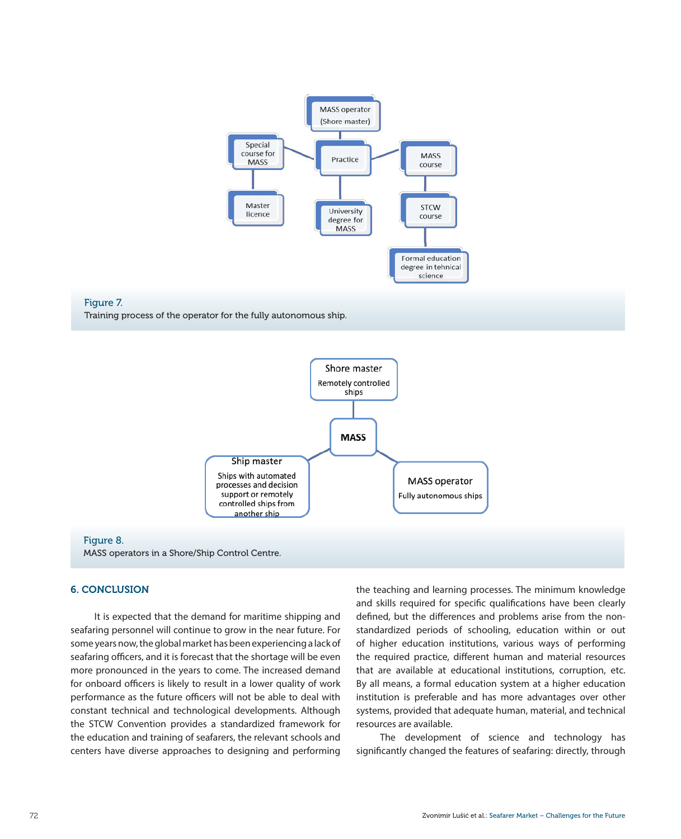





#### Figure 8.

MASS operators in a Shore/Ship Control Centre.

### 6. CONCLUSION

It is expected that the demand for maritime shipping and seafaring personnel will continue to grow in the near future. For some years now, the global market has been experiencing a lack of seafaring officers, and it is forecast that the shortage will be even more pronounced in the years to come. The increased demand for onboard officers is likely to result in a lower quality of work performance as the future officers will not be able to deal with constant technical and technological developments. Although the STCW Convention provides a standardized framework for the education and training of seafarers, the relevant schools and centers have diverse approaches to designing and performing the teaching and learning processes. The minimum knowledge and skills required for specific qualifications have been clearly defined, but the differences and problems arise from the nonstandardized periods of schooling, education within or out of higher education institutions, various ways of performing the required practice, different human and material resources that are available at educational institutions, corruption, etc. By all means, a formal education system at a higher education institution is preferable and has more advantages over other systems, provided that adequate human, material, and technical resources are available.

The development of science and technology has significantly changed the features of seafaring: directly, through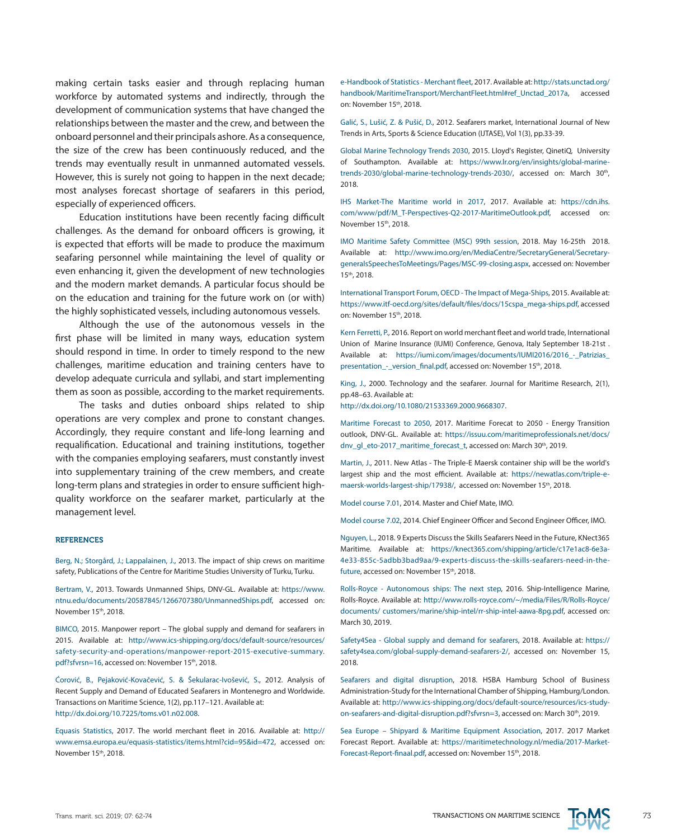making certain tasks easier and through replacing human workforce by automated systems and indirectly, through the development of communication systems that have changed the relationships between the master and the crew, and between the onboard personnel and their principals ashore. As a consequence, the size of the crew has been continuously reduced, and the trends may eventually result in unmanned automated vessels. However, this is surely not going to happen in the next decade; most analyses forecast shortage of seafarers in this period, especially of experienced officers.

Education institutions have been recently facing difficult challenges. As the demand for onboard officers is growing, it is expected that efforts will be made to produce the maximum seafaring personnel while maintaining the level of quality or even enhancing it, given the development of new technologies and the modern market demands. A particular focus should be on the education and training for the future work on (or with) the highly sophisticated vessels, including autonomous vessels.

Although the use of the autonomous vessels in the first phase will be limited in many ways, education system should respond in time. In order to timely respond to the new challenges, maritime education and training centers have to develop adequate curricula and syllabi, and start implementing them as soon as possible, according to the market requirements.

The tasks and duties onboard ships related to ship operations are very complex and prone to constant changes. Accordingly, they require constant and life-long learning and requalification. Educational and training institutions, together with the companies employing seafarers, must constantly invest into supplementary training of the crew members, and create long-term plans and strategies in order to ensure sufficient highquality workforce on the seafarer market, particularly at the management level.

#### **REFERENCES**

Berg, N.; Storgård, J.; Lappalainen, J., 2013. The impact of ship crews on maritime safety, Publications of the Centre for Maritime Studies University of Turku, Turku.

Bertram, V., 2013. Towards Unmanned Ships, DNV-GL. Available at: [https://www.](https://www.ntnu.edu/documents/20587845/1266707380/UnmannedShips.pdf) [ntnu.edu/documents/20587845/1266707380/UnmannedShips.pdf](https://www.ntnu.edu/documents/20587845/1266707380/UnmannedShips.pdf), accessed on: November 15th, 2018.

BIMCO, 2015. Manpower report – The global supply and demand for seafarers in 2015. Available at: [http://www.ics-shipping.org/docs/default-source/resources/](http://www.ics-shipping.org/docs/default-source/resources/safety-security-and-operations/manpower-report-2015-executive-summary.pdf%3Fsfvrsn%3D16) [safety-security-and-operations/manpower-report-2015-executive-summary.](http://www.ics-shipping.org/docs/default-source/resources/safety-security-and-operations/manpower-report-2015-executive-summary.pdf%3Fsfvrsn%3D16) [pdf?sfvrsn=16,](http://www.ics-shipping.org/docs/default-source/resources/safety-security-and-operations/manpower-report-2015-executive-summary.pdf%3Fsfvrsn%3D16) accessed on: November 15th, 2018.

Ćorović, B., Pejaković-Kovačević, S. & Šekularac-Ivošević, S., 2012. Analysis of Recent Supply and Demand of Educated Seafarers in Montenegro and Worldwide. Transactions on Maritime Science, 1(2), pp.117–121. Available at: <http://dx.doi.org/10.7225/toms.v01.n02.008>.

Equasis Statistics, 2017. The world merchant fleet in 2016. Available at: [http://](http://www.emsa.europa.eu/equasis-statistics/items.html%3Fcid%3D95%26id%3D472) [www.emsa.europa.eu/equasis-statistics/items.html?cid=95&id=472,](http://www.emsa.europa.eu/equasis-statistics/items.html%3Fcid%3D95%26id%3D472) accessed on: November 15th, 2018.

e-Handbook of Statistics - Merchant fleet, 2017. Available at: [http://stats.unctad.org/](http://stats.unctad.org/handbook/MaritimeTransport/MerchantFleet.html%23ref_Unctad_2017a) [handbook/MaritimeTransport/MerchantFleet.html#ref\\_Unctad\\_2017a](http://stats.unctad.org/handbook/MaritimeTransport/MerchantFleet.html%23ref_Unctad_2017a), accessed on: November 15th, 2018.

Galić, S., Lušić, Z. & Pušić, D., 2012. Seafarers market, International Journal of New Trends in Arts, Sports & Science Education (IJTASE), Vol 1(3), pp.33-39.

Global Marine Technology Trends 2030, 2015. Lloyd's Register, QinetiQ, University of Southampton. Available at: [https://www.lr.org/en/insights/global-marine](https://www.lr.org/en/insights/global-marine-trends-2030/global-marine-technology-trends-2030/)[trends-2030/global-marine-technology-trends-2030/,](https://www.lr.org/en/insights/global-marine-trends-2030/global-marine-technology-trends-2030/) accessed on: March 30<sup>th</sup>, 2018.

IHS Market-The Maritime world in 2017, 2017. Available at: [https://cdn.ihs.](https://cdn.ihs.com/www/pdf/M_T-Perspectives-Q2-2017-MaritimeOutlook.pdf) [com/www/pdf/M\\_T-Perspectives-Q2-2017-MaritimeOutlook.pdf,](https://cdn.ihs.com/www/pdf/M_T-Perspectives-Q2-2017-MaritimeOutlook.pdf) accessed on: November 15<sup>th</sup>, 2018.

IMO Maritime Safety Committee (MSC) 99th session, 2018. May 16-25th 2018. Available at: [http://www.imo.org/en/MediaCentre/SecretaryGeneral/Secretary](http://www.imo.org/en/MediaCentre/SecretaryGeneral/Secretary-generalsSpeechesToMeetings/Pages/MSC-99-closing.aspx)[generalsSpeechesToMeetings/Pages/MSC-99-closing.aspx](http://www.imo.org/en/MediaCentre/SecretaryGeneral/Secretary-generalsSpeechesToMeetings/Pages/MSC-99-closing.aspx), accessed on: November 15th, 2018.

International Transport Forum, OECD - The Impact of Mega-Ships, 2015. Available at: [https://www.itf-oecd.org/sites/default/files/docs/15cspa\\_mega-ships.pdf,](https://www.itf-oecd.org/sites/default/files/docs/15cspa_mega-ships.pdf) accessed on: November 15<sup>th</sup>, 2018.

Kern Ferretti, P., 2016. Report on world merchant fleet and world trade, International Union of Marine Insurance (IUMI) Conference, Genova, Italy September 18-21st . Available at: [https://iumi.com/images/documents/IUMI2016/2016\\_-\\_Patrizias\\_](https://iumi.com/images/documents/IUMI2016/2016_-_Patrizias_presentation_-_version_final.pdf) presentation - version final.pdf, accessed on: November 15<sup>th</sup>, 2018.

King, J., 2000. Technology and the seafarer. Journal for Maritime Research, 2(1), pp.48–63. Available at:

[http://dx.doi.org/10.1080/21533369.2000.9668307.](http://dx.doi.org/10.1080/21533369.2000.9668307)

Maritime Forecast to 2050, 2017. Maritime Forecat to 2050 - Energy Transition outlook, DNV-GL. Available at: [https://issuu.com/maritimeprofessionals.net/docs/](https://issuu.com/maritimeprofessionals.net/docs/dnv_gl_eto-2017_maritime_forecast_t) [dnv\\_gl\\_eto-2017\\_maritime\\_forecast\\_t](https://issuu.com/maritimeprofessionals.net/docs/dnv_gl_eto-2017_maritime_forecast_t), accessed on: March 30<sup>th</sup>, 2019.

Martin, J., 2011. New Atlas - The Triple-E Maersk container ship will be the world's largest ship and the most efficient. Available at: [https://newatlas.com/triple-e](https://newatlas.com/triple-e-maersk-worlds-largest-ship/17938/)[maersk-worlds-largest-ship/17938/,](https://newatlas.com/triple-e-maersk-worlds-largest-ship/17938/) accessed on: November 15<sup>th</sup>, 2018.

Model course 7.01, 2014. Master and Chief Mate, IMO.

Model course 7.02, 2014. Chief Engineer Officer and Second Engineer Officer, IMO.

Nguyen, L., 2018. 9 Experts Discuss the Skills Seafarers Need in the Future, KNect365 Maritime. Available at: [https://knect365.com/shipping/article/c17e1ac8-6e3a-](https://knect365.com/shipping/article/c17e1ac8-6e3a-4e33-855c-5adbb3bad9aa/9-experts-discuss-the-skills-seafarers-need-in-the-future)[4e33-855c-5adbb3bad9aa/9-experts-discuss-the-skills-seafarers-need-in-the](https://knect365.com/shipping/article/c17e1ac8-6e3a-4e33-855c-5adbb3bad9aa/9-experts-discuss-the-skills-seafarers-need-in-the-future)[future](https://knect365.com/shipping/article/c17e1ac8-6e3a-4e33-855c-5adbb3bad9aa/9-experts-discuss-the-skills-seafarers-need-in-the-future), accessed on: November 15<sup>th</sup>, 2018.

Rolls-Royce - Autonomous ships: The next step, 2016. Ship-Intelligence Marine, Rolls-Royce. Available at: [http://www.rolls-royce.com/~/media/Files/R/Rolls-Royce/](http://www.rolls-royce.com/~/media/Files/R/Rolls-Royce/documents/%20customers/marine/ship-intel/rr-ship-intel-aawa-8pg.pdf) [documents/ customers/marine/ship-intel/rr-ship-intel-aawa-8pg.pdf](http://www.rolls-royce.com/~/media/Files/R/Rolls-Royce/documents/%20customers/marine/ship-intel/rr-ship-intel-aawa-8pg.pdf), accessed on: March 30, 2019.

Safety4Sea - Global supply and demand for seafarers, 2018. Available at: [https://](https://safety4sea.com/global-supply-demand-seafarers-2/) [safety4sea.com/global-supply-demand-seafarers-2/,](https://safety4sea.com/global-supply-demand-seafarers-2/) accessed on: November 15, 2018.

Seafarers and digital disruption, 2018. HSBA Hamburg School of Business Administration-Study for the International Chamber of Shipping, Hamburg/London. Available at: [http://www.ics-shipping.org/docs/default-source/resources/ics-study](http://www.ics-shipping.org/docs/default-source/resources/ics-study-on-seafarers-and-digital-disruption.pdf%3Fsfvrsn%3D3)[on-seafarers-and-digital-disruption.pdf?sfvrsn=3](http://www.ics-shipping.org/docs/default-source/resources/ics-study-on-seafarers-and-digital-disruption.pdf%3Fsfvrsn%3D3), accessed on: March 30<sup>th</sup>, 2019.

Sea Europe – Shipyard & Maritime Equipment Association, 2017. 2017 Market Forecast Report. Available at: [https://maritimetechnology.nl/media/2017-Market-](https://maritimetechnology.nl/media/2017-Market-Forecast-Report-finaal.pdf)[Forecast-Report-finaal.pdf](https://maritimetechnology.nl/media/2017-Market-Forecast-Report-finaal.pdf), accessed on: November 15<sup>th</sup>, 2018.